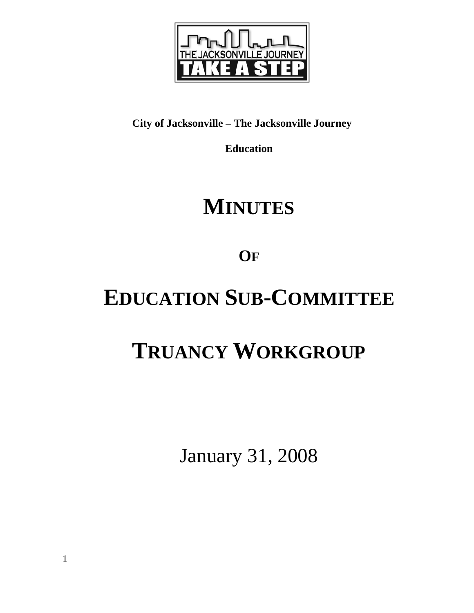

# **City of Jacksonville – The Jacksonville Journey**

**Education** 

# **MINUTES**

**OF**

# **EDUCATION SUB-COMMITTEE**

# **TRUANCY WORKGROUP**

January 31, 2008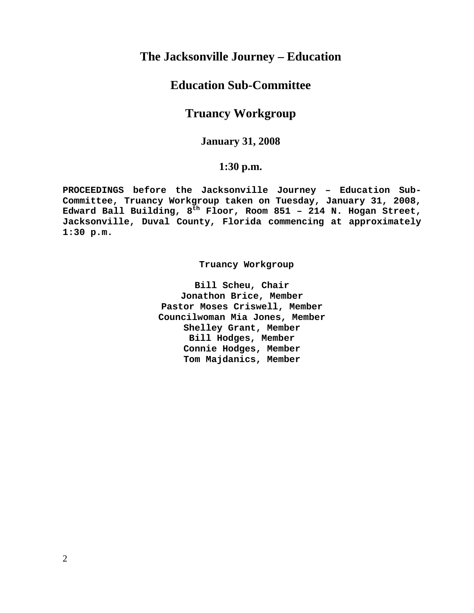# **The Jacksonville Journey – Education**

# **Education Sub-Committee**

# **Truancy Workgroup**

## **January 31, 2008**

# **1:30 p.m.**

**PROCEEDINGS before the Jacksonville Journey – Education Sub-Committee, Truancy Workgroup taken on Tuesday, January 31, 2008, Edward Ball Building, 8th Floor, Room 851 – 214 N. Hogan Street, Jacksonville, Duval County, Florida commencing at approximately 1:30 p.m.** 

 **Truancy Workgroup** 

**Bill Scheu, Chair Jonathon Brice, Member Pastor Moses Criswell, Member Councilwoman Mia Jones, Member Shelley Grant, Member Bill Hodges, Member Connie Hodges, Member Tom Majdanics, Member**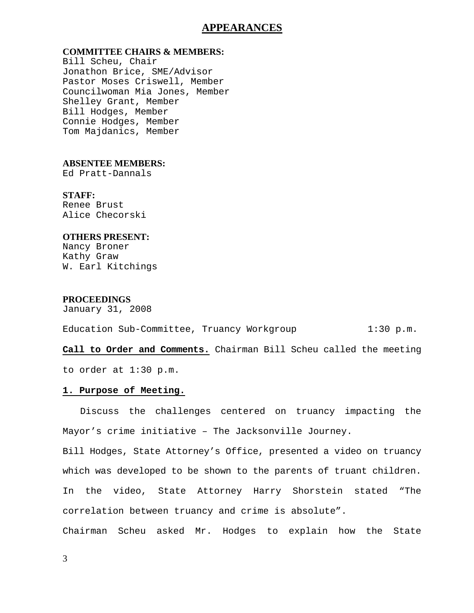## **APPEARANCES**

## **COMMITTEE CHAIRS & MEMBERS:**

Bill Scheu, Chair Jonathon Brice, SME/Advisor Pastor Moses Criswell, Member Councilwoman Mia Jones, Member Shelley Grant, Member Bill Hodges, Member Connie Hodges, Member Tom Majdanics, Member

## **ABSENTEE MEMBERS:**

Ed Pratt-Dannals

### **STAFF:**

Renee Brust Alice Checorski

#### **OTHERS PRESENT:**

Nancy Broner Kathy Graw W. Earl Kitchings

#### **PROCEEDINGS**

January 31, 2008

| Education Sub-Committee, Truancy Workgroup |  | $1:30$ p.m. |
|--------------------------------------------|--|-------------|
|--------------------------------------------|--|-------------|

## **Call to Order and Comments.** Chairman Bill Scheu called the meeting

to order at 1:30 p.m.

#### **1. Purpose of Meeting.**

 Discuss the challenges centered on truancy impacting the Mayor's crime initiative – The Jacksonville Journey.

Bill Hodges, State Attorney's Office, presented a video on truancy which was developed to be shown to the parents of truant children. In the video, State Attorney Harry Shorstein stated "The correlation between truancy and crime is absolute".

Chairman Scheu asked Mr. Hodges to explain how the State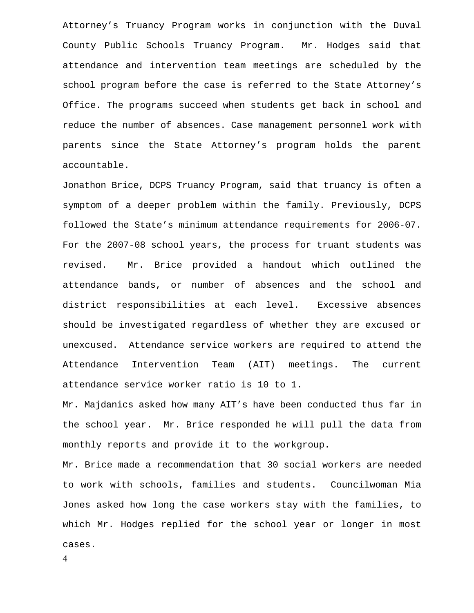Attorney's Truancy Program works in conjunction with the Duval County Public Schools Truancy Program. Mr. Hodges said that attendance and intervention team meetings are scheduled by the school program before the case is referred to the State Attorney's Office. The programs succeed when students get back in school and reduce the number of absences. Case management personnel work with parents since the State Attorney's program holds the parent accountable.

Jonathon Brice, DCPS Truancy Program, said that truancy is often a symptom of a deeper problem within the family. Previously, DCPS followed the State's minimum attendance requirements for 2006-07. For the 2007-08 school years, the process for truant students was revised. Mr. Brice provided a handout which outlined the attendance bands, or number of absences and the school and district responsibilities at each level. Excessive absences should be investigated regardless of whether they are excused or unexcused. Attendance service workers are required to attend the Attendance Intervention Team (AIT) meetings. The current attendance service worker ratio is 10 to 1.

Mr. Majdanics asked how many AIT's have been conducted thus far in the school year. Mr. Brice responded he will pull the data from monthly reports and provide it to the workgroup.

Mr. Brice made a recommendation that 30 social workers are needed to work with schools, families and students. Councilwoman Mia Jones asked how long the case workers stay with the families, to which Mr. Hodges replied for the school year or longer in most cases.

4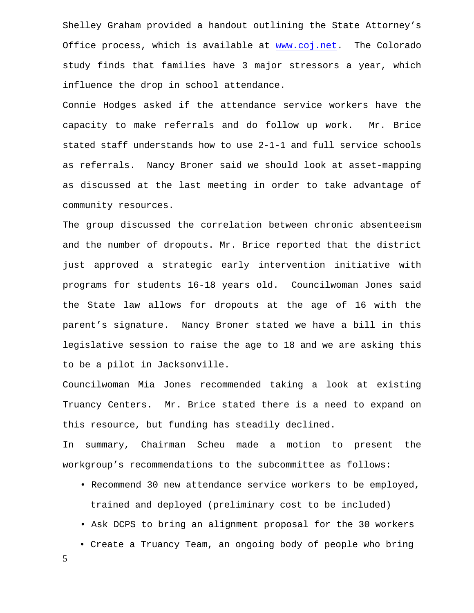Shelley Graham provided a handout outlining the State Attorney's Office process, which is available at [www.coj.net.](http://www.coj.net/) The Colorado study finds that families have 3 major stressors a year, which influence the drop in school attendance.

Connie Hodges asked if the attendance service workers have the capacity to make referrals and do follow up work. Mr. Brice stated staff understands how to use 2-1-1 and full service schools as referrals. Nancy Broner said we should look at asset-mapping as discussed at the last meeting in order to take advantage of community resources.

The group discussed the correlation between chronic absenteeism and the number of dropouts. Mr. Brice reported that the district just approved a strategic early intervention initiative with programs for students 16-18 years old. Councilwoman Jones said the State law allows for dropouts at the age of 16 with the parent's signature. Nancy Broner stated we have a bill in this legislative session to raise the age to 18 and we are asking this to be a pilot in Jacksonville.

Councilwoman Mia Jones recommended taking a look at existing Truancy Centers. Mr. Brice stated there is a need to expand on this resource, but funding has steadily declined.

In summary, Chairman Scheu made a motion to present the workgroup's recommendations to the subcommittee as follows:

- Recommend 30 new attendance service workers to be employed, trained and deployed (preliminary cost to be included)
- Ask DCPS to bring an alignment proposal for the 30 workers
- Create a Truancy Team, an ongoing body of people who bring

5